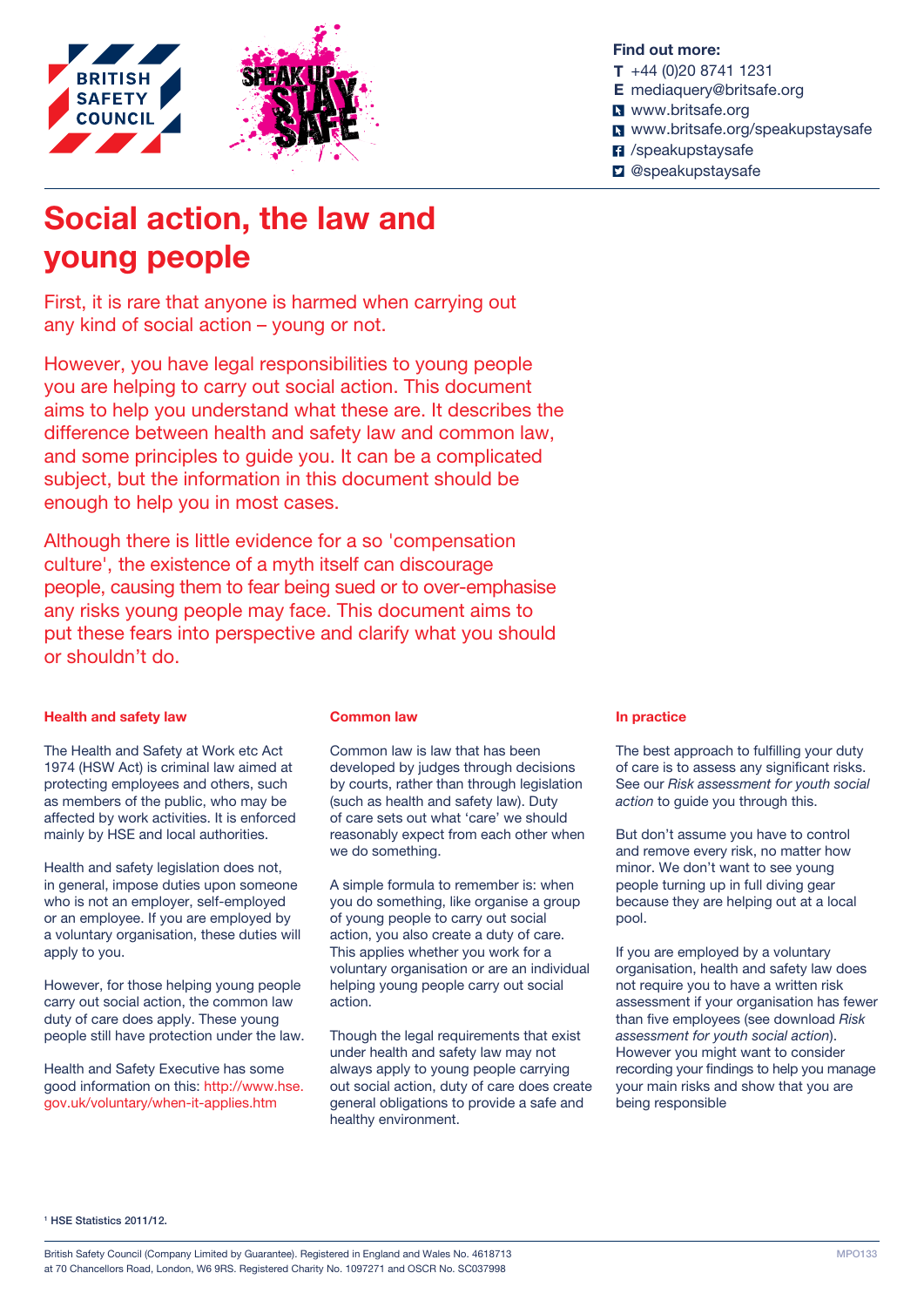

# Social action, the law and young people

First, it is rare that anyone is harmed when carrying out any kind of social action – young or not.

However, you have legal responsibilities to young people you are helping to carry out social action. This document aims to help you understand what these are. It describes the difference between health and safety law and common law, and some principles to guide you. It can be a complicated subject, but the information in this document should be enough to help you in most cases.

Although there is little evidence for a so 'compensation culture', the existence of a myth itself can discourage people, causing them to fear being sued or to over-emphasise any risks young people may face. This document aims to put these fears into perspective and clarify what you should or shouldn't do.

#### Health and safety law

The Health and Safety at Work etc Act 1974 (HSW Act) is criminal law aimed at protecting employees and others, such as members of the public, who may be affected by work activities. It is enforced mainly by HSE and local authorities.

Health and safety legislation does not, in general, impose duties upon someone who is not an employer, self-employed or an employee. If you are employed by a voluntary organisation, these duties will apply to you.

However, for those helping young people carry out social action, the common law duty of care does apply. These young people still have protection under the law.

Health and Safety Executive has some good information on this: [http://www.hse.](http://www.hse.gov.uk/voluntary/when-it-applies.htm) [gov.uk/voluntary/when-it-applies.htm](http://www.hse.gov.uk/voluntary/when-it-applies.htm)

#### Common law

Common law is law that has been developed by judges through decisions by courts, rather than through legislation (such as health and safety law). Duty of care sets out what 'care' we should reasonably expect from each other when we do something.

A simple formula to remember is: when you do something, like organise a group of young people to carry out social action, you also create a duty of care. This applies whether you work for a voluntary organisation or are an individual helping young people carry out social action.

Though the legal requirements that exist under health and safety law may not always apply to young people carrying out social action, duty of care does create general obligations to provide a safe and healthy environment.

#### Find out more:

- T +44 (0)20 8741 1231
- E [mediaquery@britsafe.org](mailto:mediaquery@britsafe.org)
- **N** <www.britsafe.org>
- <www.britsafe.org/speakupstaysafe>
- **7** /speakupstaysafe
- **D** @speakupstaysafe

## In practice

The best approach to fulfilling your duty of care is to assess any significant risks. See our *[Risk assessment for youth social](https://www.britsafe.org/sites/default/files//editor/Risk_assessment_for_youth_social_action.pdf)  [action](https://www.britsafe.org/sites/default/files//editor/Risk_assessment_for_youth_social_action.pdf)* to guide you through this.

But don't assume you have to control and remove every risk, no matter how minor. We don't want to see young people turning up in full diving gear because they are helping out at a local pool.

If you are employed by a voluntary organisation, health and safety law does not require you to have a written risk assessment if your organisation has fewer than five employees (see download *[Risk](https://www.britsafe.org/sites/default/files//editor/Risk_assessment_for_youth_social_action.pdf)  [assessment for youth social action](https://www.britsafe.org/sites/default/files//editor/Risk_assessment_for_youth_social_action.pdf)*). However you might want to consider recording your findings to help you manage your main risks and show that you are being responsible

<sup>1</sup> HSE Statistics 2011/12.

British Safety Council (Company Limited by Guarantee). Registered in England and Wales No. 4618713 at 70 Chancellors Road, London, W6 9RS. Registered Charity No. 1097271 and OSCR No. SC037998